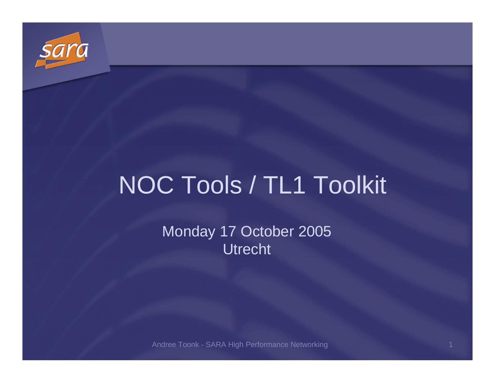

# NOC Tools / TL1 Toolkit

Monday <sup>17</sup> October 2005Utrecht

Andree Toonk - SARA High Performance Networkingdiscovered the control of the control of the control of the control of the control of the control of the control of the control of the control of the control of the control of the control of the control of the control of t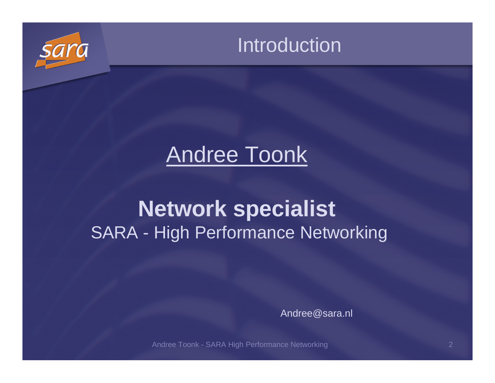



## Andree Toonk

### **Network specialist**SARA - High Performance Networking

Andree@sara.nl

Andree Toonk - SARA High Performance Networking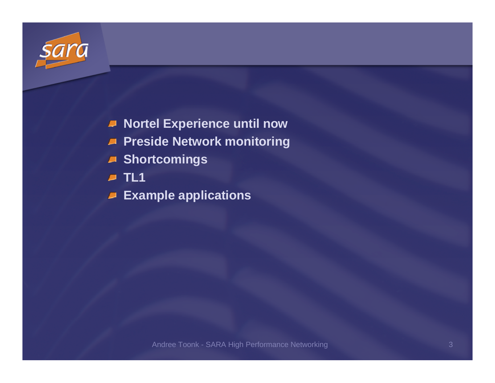

- **Nortel Experience until now**
- **Preside Network monitoring**
- **Shortcomings**
- **TL1**
- **Example applications**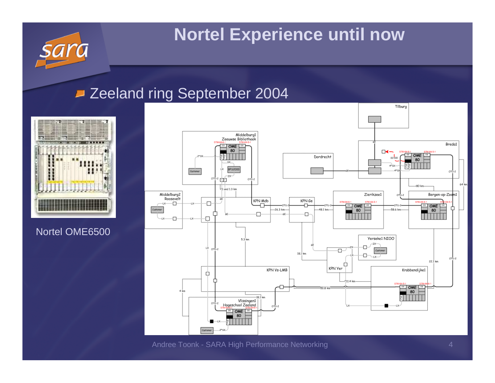#### **Nortel Experience until now**

#### **Zeeland ring September 2004**



#### Nortel OME6500



Andree Toonk - SARA High Performance Networking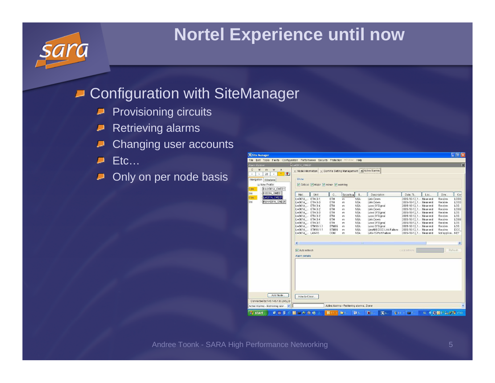### **Nortel Experience until now**

#### **D** Configuration with SiteManager

- Provisioning circuits $\blacksquare$
- Retrieving alarmsΔ
- Changing user accounts
- Etc… $\blacksquare$
- Only on per node basis

| Site Manager                                                                           |                                                                                                                                                                                                                                                                   |                                                                               |                                                     |                                                                                                                            |                                                                                                                                                                                               |                                                                                                                                                                                                                                                                                                             |     |                                                                                                                               | ∖⊓<br>圈                                                                                                 |
|----------------------------------------------------------------------------------------|-------------------------------------------------------------------------------------------------------------------------------------------------------------------------------------------------------------------------------------------------------------------|-------------------------------------------------------------------------------|-----------------------------------------------------|----------------------------------------------------------------------------------------------------------------------------|-----------------------------------------------------------------------------------------------------------------------------------------------------------------------------------------------|-------------------------------------------------------------------------------------------------------------------------------------------------------------------------------------------------------------------------------------------------------------------------------------------------------------|-----|-------------------------------------------------------------------------------------------------------------------------------|---------------------------------------------------------------------------------------------------------|
| Edit Tools Faults<br>Configuration Performance Security Protection Window Help<br>File |                                                                                                                                                                                                                                                                   |                                                                               |                                                     |                                                                                                                            |                                                                                                                                                                                               |                                                                                                                                                                                                                                                                                                             |     |                                                                                                                               |                                                                                                         |
| Alarm Banner                                                                           | LW001A_OME01                                                                                                                                                                                                                                                      |                                                                               |                                                     |                                                                                                                            |                                                                                                                                                                                               |                                                                                                                                                                                                                                                                                                             |     |                                                                                                                               | $\overline{\mathbf{x}}$                                                                                 |
| $\mathbf{C}$<br>M<br>W<br>A<br>m<br>$\Box$<br>$\star$<br>28<br>影<br>×<br>D.            | X Node Information   X Comms Setting Management   X Active Alarms                                                                                                                                                                                                 |                                                                               |                                                     |                                                                                                                            |                                                                                                                                                                                               |                                                                                                                                                                                                                                                                                                             |     |                                                                                                                               |                                                                                                         |
| Navigation<br>Windows<br>E New Profile<br>Hedr001A OME01<br>12m<br>HI001A OME01        | Show<br>☑ Critical Ø Major Ø minor Ø warning                                                                                                                                                                                                                      |                                                                               |                                                     |                                                                                                                            |                                                                                                                                                                                               |                                                                                                                                                                                                                                                                                                             |     |                                                                                                                               |                                                                                                         |
| 3m<br>Lw001A OME01<br>11m                                                              | Unit<br>Net                                                                                                                                                                                                                                                       | $\mathbb{C}$                                                                  | Severity A                                          | S                                                                                                                          | Description                                                                                                                                                                                   | Date, Ti                                                                                                                                                                                                                                                                                                    | Loc | Dire                                                                                                                          | Cor                                                                                                     |
| Mdmr001A_OME01<br>2m                                                                   | Lw001A ___ ETH-3-1<br>Lw001A  ETH-3-3<br>Lw001A  ETH-3-4<br>Lw001A  ETH-3-2<br>Lw001A  ETH-3-3<br>Lw001A  ETH-3-2<br>Lw001A  ETH-3-4<br>Lw001A_ ETH-3-1<br>Lw001A  STM16-1-1<br>Lw001A ___ STM16-1-1<br>Lw001A  LAN-15<br>$\leq$<br>Auto refresh<br>Alarm details | ETH<br>ETH<br>ETH<br>ETH<br>ETH<br>ETH<br>ETH<br>ETH<br>STM16<br>STM16<br>COM | m<br>m<br>m<br>m<br>m<br>m<br>m<br>m<br>m<br>m<br>m | NSA<br><b>NSA</b><br>NSA<br><b>NSA</b><br>NSA<br><b>NSA</b><br>NSA<br><b>NSA</b><br>NSA<br><b>NSA</b><br>NSA<br><b>SUC</b> | Link Down<br>Link Down<br>Loss Of Signal<br>Link Down<br>Loss Of Signal<br>Loss Of Signal<br>Link Down<br>Loss Of Signal<br>Loss Of Signal<br>Line/MS DCC Link Failure<br>LAN-15 Port Failure | 2005-10-12, 1 Near end<br>2005-10-12, 1 Near end<br>2005-10-12, 1 Near end<br>2005-10-12, 1 Near end<br>2005-10-12, 1 Near end<br>2005-10-12, 1 Near end<br>2005-10-12, 1 Near end<br>2005-10-12, 1 Near end<br>2005-10-12, 1 Near end<br>2005-10-12, 1 Near end<br>2005-10-12, 1 Near end<br>Last refresh: |     | Receive<br>Receive<br>Receive<br>Receive<br>Receive<br>Receive<br>Receive<br>Receive<br>Receive<br>Receive<br>Not applica NET | LOSS <sub></sub><br>LOSS<br>LOS<br>LOSS<br>LOS<br>LOS<br>LOSS-<br>LOS<br>LOS<br>DCC_<br>$\,$<br>Refresh |
| Add Node<br>Connected to:145.145.133.245.23<br>Active Alarms - Retrieving alar         | How to Clear                                                                                                                                                                                                                                                      |                                                                               | Active Alarms - Retrieving alarms Done              |                                                                                                                            |                                                                                                                                                                                               |                                                                                                                                                                                                                                                                                                             |     |                                                                                                                               | Ÿ                                                                                                       |
| <b>Start</b>                                                                           | <b>CERSONAGO</b><br>$\circ$                                                                                                                                                                                                                                       | O21                                                                           | <b>FB</b> 5                                         | 图 5.                                                                                                                       | 图5.<br>图 3.1                                                                                                                                                                                  | $\frac{1}{2}$ 21 $\times$ $\overline{C}$ 1                                                                                                                                                                                                                                                                  |     | N. <b>4 20 1 34 34 35 17:02</b>                                                                                               |                                                                                                         |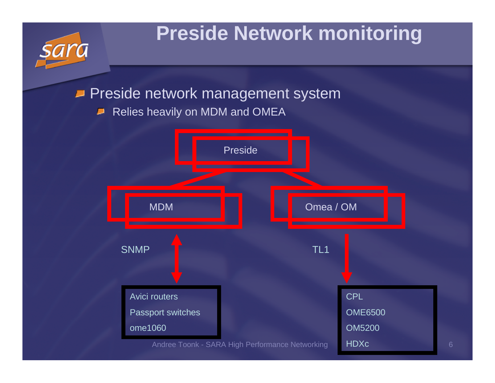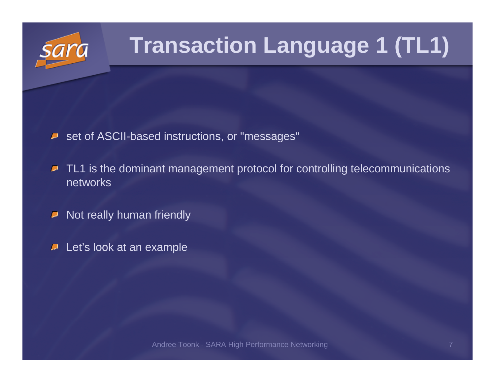# **Transaction Language 1 (TL1)**

- set of ASCII-based instructions, or "messages"
- TL1 is the dominant management protocol for controlling telecommunications  $\blacksquare$ networks
- Not really human friendly $\blacktriangleright$
- $\blacktriangleright$  Let's look at an example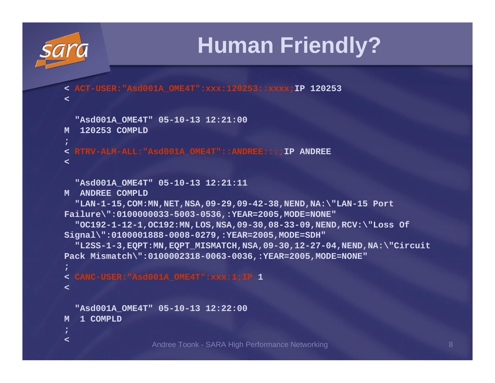

## **Human Friendly?**

**< ACT-USER:"Asd001A\_OME4T":xxx:120253::xxxx;IP 120253**

```
"Asd001A_OME4T" 05-10-13 12:21:00
```

```
M 120253 COMPLD
```
**;**

**<**

**< RTRV-ALM-ALL:"Asd001A\_OME4T"::ANDREE:::;IP ANDREE**

**<**

**"Asd001A\_OME4T" 05-10-13 12:21:11**

**M ANDREE COMPLD**

```

"LAN-1-15,COM:MN,NET,NSA,09-29,09-42-38,NEND,NA:\"LAN-15 PortFailure\":0100000033-5003-0536,:YEAR=2005,MODE=NONE"
```

```

"OC192-1-12-1,OC192:MN,LOS,NSA,09-30,08-33-09,NEND,RCV:\"Loss OfSignal\":0100001888-0008-0279,:YEAR=2005,MODE=SDH"
```

```

"L2SS-1-3,EQPT:MN,EQPT_MISMATCH,NSA,09-30,12-27-04,NEND,NA:\"CircuitPack Mismatch\":0100002318-0063-0036,:YEAR=2005,MODE=NONE"
```

```
;
< CANC-USER:"Asd001A_OME4T":xxx:1;IP1<
```
**"Asd001A\_OME4T" 05-10-13 12:22:00**

```
M 1 COMPLD
```
**;<**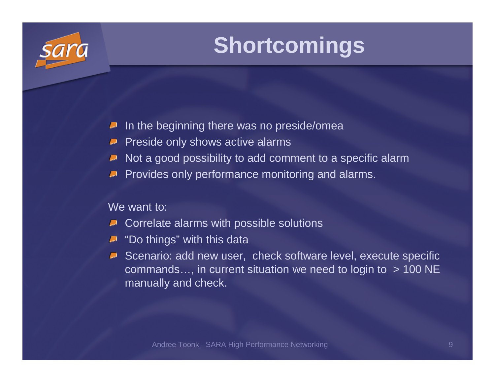## **Shortcomings**

- In the beginning there was no preside/omea**A**
- Preside only shows active alarms
- Not a good possibility to add comment to a specific alarm
- Provides only performance monitoring and alarms.

#### We want to:

- Correlate alarms with possible solutions
- **D** "Do things" with this data
- **Scenario: add new user, check software level, execute specific** commands..., in current situation we need to login to  $> 100$  NE manually and check.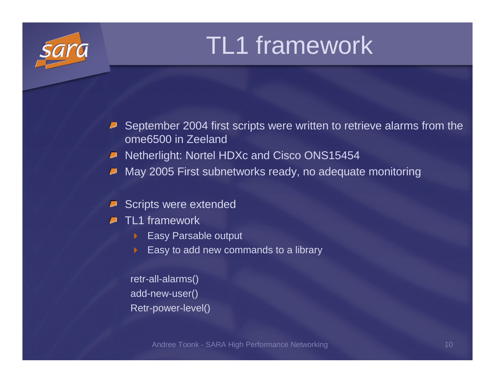# TL1 framework

- September 2004 first scripts were written to retrieve alarms from the U ome6500 in Zeeland
- Netherlight: Nortel HDXc and Cisco ONS15454
- May 2005 First subnetworks ready, no adequate monitoring

#### Scripts were extended

- TL1 framework
	- Easy Parsable output
	- Easy to add new commands to a library

retr-all-alarms()add-new-user()Retr-power-level()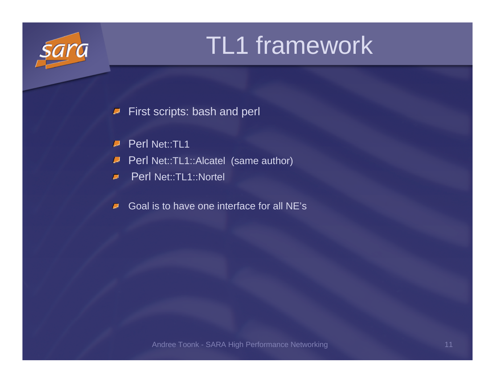# TL1 framework

First scripts: bash and perl $\overline{\phantom{a}}$ 

Perl Net::TL1  $\blacksquare$ 

Perl Net::TL1::Alcatel (same author)  $\overline{\phantom{a}}$ 

Perl Net::TL1::Nortel  $\blacksquare$ 

Goal is to have one interface for all NE's $\blacksquare$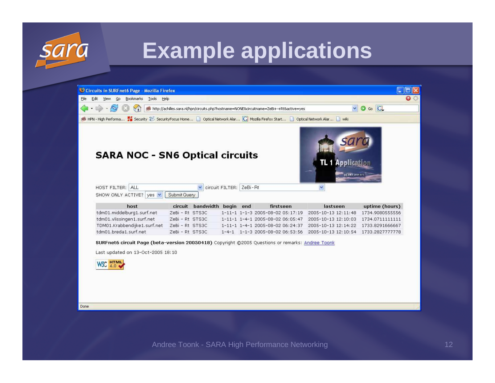

## **Example applications**

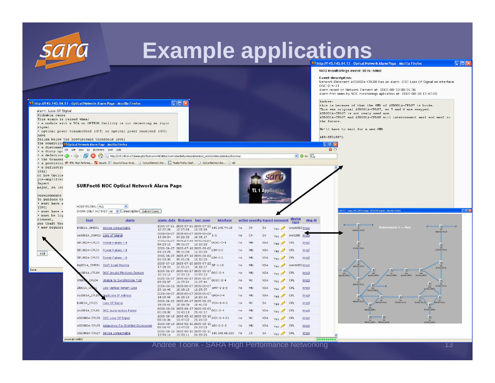